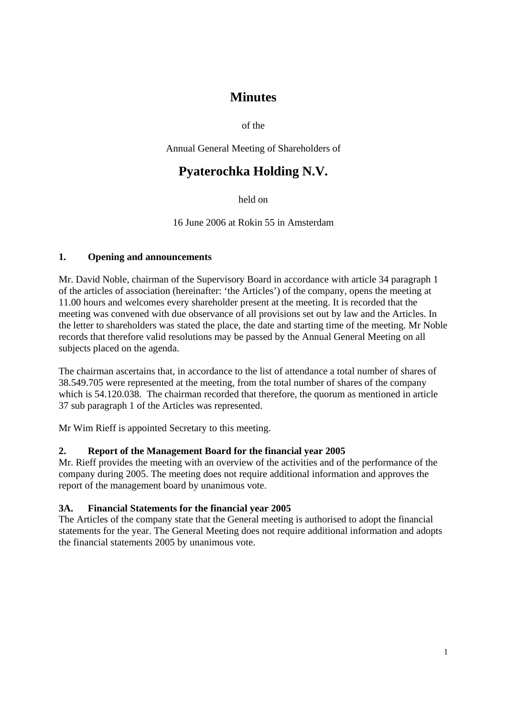# **Minutes**

of the

Annual General Meeting of Shareholders of

# **Pyaterochka Holding N.V.**

held on

16 June 2006 at Rokin 55 in Amsterdam

# **1. Opening and announcements**

Mr. David Noble, chairman of the Supervisory Board in accordance with article 34 paragraph 1 of the articles of association (hereinafter: 'the Articles') of the company, opens the meeting at 11.00 hours and welcomes every shareholder present at the meeting. It is recorded that the meeting was convened with due observance of all provisions set out by law and the Articles. In the letter to shareholders was stated the place, the date and starting time of the meeting. Mr Noble records that therefore valid resolutions may be passed by the Annual General Meeting on all subjects placed on the agenda.

The chairman ascertains that, in accordance to the list of attendance a total number of shares of 38.549.705 were represented at the meeting, from the total number of shares of the company which is 54.120.038. The chairman recorded that therefore, the quorum as mentioned in article 37 sub paragraph 1 of the Articles was represented.

Mr Wim Rieff is appointed Secretary to this meeting.

# **2. Report of the Management Board for the financial year 2005**

Mr. Rieff provides the meeting with an overview of the activities and of the performance of the company during 2005. The meeting does not require additional information and approves the report of the management board by unanimous vote.

# **3A. Financial Statements for the financial year 2005**

The Articles of the company state that the General meeting is authorised to adopt the financial statements for the year. The General Meeting does not require additional information and adopts the financial statements 2005 by unanimous vote.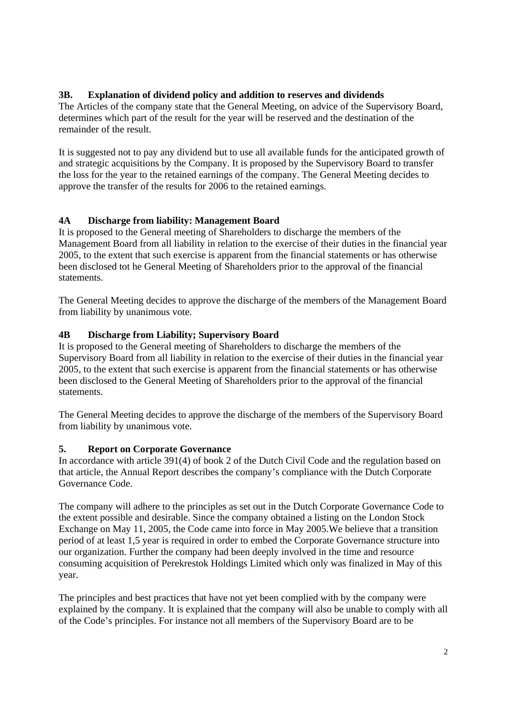# **3B. Explanation of dividend policy and addition to reserves and dividends**

The Articles of the company state that the General Meeting, on advice of the Supervisory Board, determines which part of the result for the year will be reserved and the destination of the remainder of the result.

It is suggested not to pay any dividend but to use all available funds for the anticipated growth of and strategic acquisitions by the Company. It is proposed by the Supervisory Board to transfer the loss for the year to the retained earnings of the company. The General Meeting decides to approve the transfer of the results for 2006 to the retained earnings.

# **4A Discharge from liability: Management Board**

It is proposed to the General meeting of Shareholders to discharge the members of the Management Board from all liability in relation to the exercise of their duties in the financial year 2005, to the extent that such exercise is apparent from the financial statements or has otherwise been disclosed tot he General Meeting of Shareholders prior to the approval of the financial statements.

The General Meeting decides to approve the discharge of the members of the Management Board from liability by unanimous vote.

# **4B Discharge from Liability; Supervisory Board**

It is proposed to the General meeting of Shareholders to discharge the members of the Supervisory Board from all liability in relation to the exercise of their duties in the financial year 2005, to the extent that such exercise is apparent from the financial statements or has otherwise been disclosed to the General Meeting of Shareholders prior to the approval of the financial statements.

The General Meeting decides to approve the discharge of the members of the Supervisory Board from liability by unanimous vote.

# **5. Report on Corporate Governance**

In accordance with article 391(4) of book 2 of the Dutch Civil Code and the regulation based on that article, the Annual Report describes the company's compliance with the Dutch Corporate Governance Code.

The company will adhere to the principles as set out in the Dutch Corporate Governance Code to the extent possible and desirable. Since the company obtained a listing on the London Stock Exchange on May 11, 2005, the Code came into force in May 2005.We believe that a transition period of at least 1,5 year is required in order to embed the Corporate Governance structure into our organization. Further the company had been deeply involved in the time and resource consuming acquisition of Perekrestok Holdings Limited which only was finalized in May of this year.

The principles and best practices that have not yet been complied with by the company were explained by the company. It is explained that the company will also be unable to comply with all of the Code's principles. For instance not all members of the Supervisory Board are to be